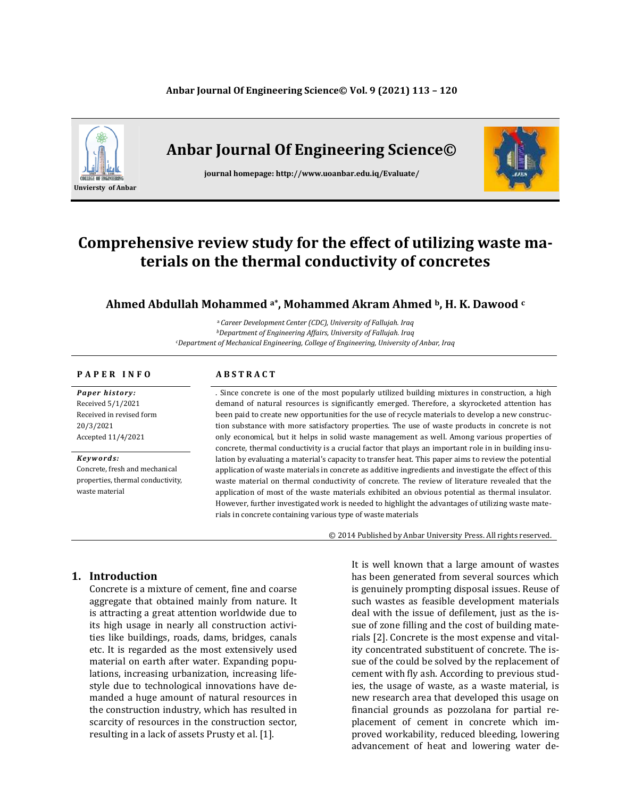### **Anbar Journal Of Engineering Science© Vol. 9 (2021) 113 – 120**



# **Anbar Journal Of Engineering Science©**

**journal homepage: http://www.uoanbar.edu.iq/Evaluate/**



# **Comprehensive review study for the effect of utilizing waste materials on the thermal conductivity of concretes**

### **Ahmed Abdullah Mohammed a\* , Mohammed Akram Ahmed b, H. K. Dawood <sup>c</sup>**

<sup>a</sup>*Career Development Center (CDC), University of Fallujah. Iraq <sup>b</sup>Department of Engineering Affairs, University of Fallujah. Iraq <sup>c</sup>Department of Mechanical Engineering, College of Engineering, University of Anbar, Iraq*

### **P A P E R I N F O A B S T R A C T**

*Paper history:* Received 5/1/2021 Received in revised form 20/3/2021 Accepted 11/4/2021

*Keyw ord s:* Concrete, fresh and mechanical properties, thermal conductivity, waste material

. Since concrete is one of the most popularly utilized building mixtures in construction, a high demand of natural resources is significantly emerged. Therefore, a skyrocketed attention has been paid to create new opportunities for the use of recycle materials to develop a new construction substance with more satisfactory properties. The use of waste products in concrete is not only economical, but it helps in solid waste management as well. Among various properties of concrete, thermal conductivity is a crucial factor that plays an important role in in building insulation by evaluating a material's capacity to transfer heat. This paper aims to review the potential application of waste materials in concrete as additive ingredients and investigate the effect of this waste material on thermal conductivity of concrete. The review of literature revealed that the application of most of the waste materials exhibited an obvious potential as thermal insulator. However, further investigated work is needed to highlight the advantages of utilizing waste materials in concrete containing various type of waste materials

© 2014 Published by Anbar University Press. All rights reserved.

## **1. Introduction**

Concrete is a mixture of cement, fine and coarse aggregate that obtained mainly from nature. It is attracting a great attention worldwide due to its high usage in nearly all construction activities like buildings, roads, dams, bridges, canals etc. It is regarded as the most extensively used material on earth after water. Expanding populations, increasing urbanization, increasing lifestyle due to technological innovations have demanded a huge amount of natural resources in the construction industry, which has resulted in scarcity of resources in the construction sector, resulting in a lack of assets Prusty et al. [1].

It is well known that a large amount of wastes has been generated from several sources which is genuinely prompting disposal issues. Reuse of such wastes as feasible development materials deal with the issue of defilement, just as the issue of zone filling and the cost of building materials [2]. Concrete is the most expense and vitality concentrated substituent of concrete. The issue of the could be solved by the replacement of cement with fly ash. According to previous studies, the usage of waste, as a waste material, is new research area that developed this usage on financial grounds as pozzolana for partial replacement of cement in concrete which improved workability, reduced bleeding, lowering advancement of heat and lowering water de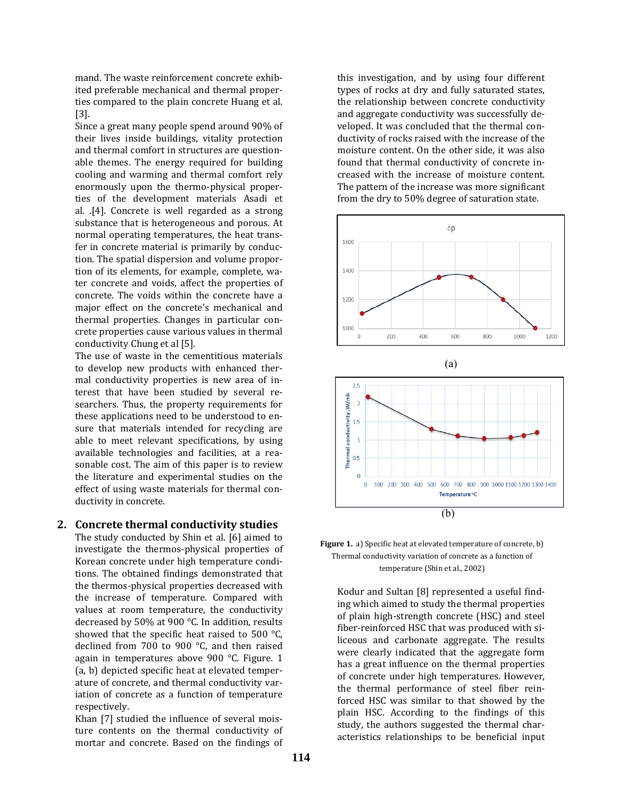mand. The waste reinforcement concrete exhibited preferable mechanical and thermal properties compared to the plain concrete Huang et al. [3].

Since a great many people spend around 90% of their lives inside buildings, vitality protection and thermal comfort in structures are questionable themes. The energy required for building cooling and warming and thermal comfort rely enormously upon the thermo-physical properties of the development materials Asadi et al. .[4]. Concrete is well regarded as a strong substance that is heterogeneous and porous. At normal operating temperatures, the heat transfer in concrete material is primarily by conduction. The spatial dispersion and volume proportion of its elements, for example, complete, water concrete and voids, affect the properties of concrete. The voids within the concrete have a major effect on the concrete's mechanical and thermal properties. Changes in particular concrete properties cause various values in thermal conductivity Chung et al [5].

The use of waste in the cementitious materials to develop new products with enhanced thermal conductivity properties is new area of interest that have been studied by several researchers. Thus, the property requirements for these applications need to be understood to ensure that materials intended for recycling are able to meet relevant specifications, by using available technologies and facilities, at a reasonable cost. The aim of this paper is to review the literature and experimental studies on the effect of using waste materials for thermal conductivity in concrete.

## **2. Concrete thermal conductivity studies**

The study conducted by Shin et al. [6] aimed to investigate the thermos-physical properties of Korean concrete under high temperature conditions. The obtained findings demonstrated that the thermos-physical properties decreased with the increase of temperature. Compared with values at room temperature, the conductivity decreased by 50% at 900 °C. In addition, results showed that the specific heat raised to 500 °C, declined from 700 to 900 °C, and then raised again in temperatures above 900 °C. Figure. 1 (a, b) depicted specific heat at elevated temperature of concrete, and thermal conductivity variation of concrete as a function of temperature respectively.

Khan [7] studied the influence of several moisture contents on the thermal conductivity of mortar and concrete. Based on the findings of this investigation, and by using four different types of rocks at dry and fully saturated states, the relationship between concrete conductivity and aggregate conductivity was successfully developed. It was concluded that the thermal conductivity of rocks raised with the increase of the moisture content. On the other side, it was also found that thermal conductivity of concrete increased with the increase of moisture content. The pattern of the increase was more significant from the dry to 50% degree of saturation state.







Kodur and Sultan [8] represented a useful finding which aimed to study the thermal properties of plain high-strength concrete (HSC) and steel fiber-reinforced HSC that was produced with siliceous and carbonate aggregate. The results were clearly indicated that the aggregate form has a great influence on the thermal properties of concrete under high temperatures. However, the thermal performance of steel fiber reinforced HSC was similar to that showed by the plain HSC. According to the findings of this study, the authors suggested the thermal characteristics relationships to be beneficial input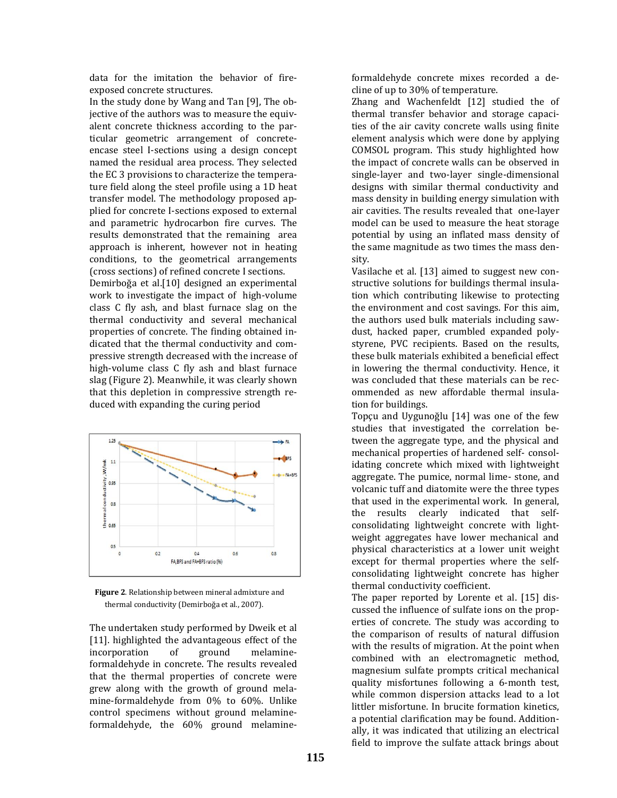data for the imitation the behavior of fireexposed concrete structures.

In the study done by Wang and Tan [9], The objective of the authors was to measure the equivalent concrete thickness according to the particular geometric arrangement of concreteencase steel I-sections using a design concept named the residual area process. They selected the EC 3 provisions to characterize the temperature field along the steel profile using a 1D heat transfer model. The methodology proposed applied for concrete I-sections exposed to external and parametric hydrocarbon fire curves. The results demonstrated that the remaining area approach is inherent, however not in heating conditions, to the geometrical arrangements (cross sections) of refined concrete I sections.

Demirboğa et al.[10] designed an experimental work to investigate the impact of high-volume class C fly ash, and blast furnace slag on the thermal conductivity and several mechanical properties of concrete. The finding obtained indicated that the thermal conductivity and compressive strength decreased with the increase of high-volume class C fly ash and blast furnace slag (Figure 2). Meanwhile, it was clearly shown that this depletion in compressive strength reduced with expanding the curing period



 **Figure 2**. Relationship between mineral admixture and thermal conductivity (Demirboğa et al., 2007).

The undertaken study performed by Dweik et al [11]. highlighted the advantageous effect of the incorporation of ground melamineformaldehyde in concrete. The results revealed that the thermal properties of concrete were grew along with the growth of ground melamine-formaldehyde from 0% to 60%. Unlike control specimens without ground melamineformaldehyde, the 60% ground melamineformaldehyde concrete mixes recorded a decline of up to 30% of temperature.

Zhang and Wachenfeldt [12] studied the of thermal transfer behavior and storage capacities of the air cavity concrete walls using finite element analysis which were done by applying COMSOL program. This study highlighted how the impact of concrete walls can be observed in single-layer and two-layer single-dimensional designs with similar thermal conductivity and mass density in building energy simulation with air cavities. The results revealed that one-layer model can be used to measure the heat storage potential by using an inflated mass density of the same magnitude as two times the mass density.

Vasilache et al. [13] aimed to suggest new constructive solutions for buildings thermal insulation which contributing likewise to protecting the environment and cost savings. For this aim, the authors used bulk materials including sawdust, hacked paper, crumbled expanded polystyrene, PVC recipients. Based on the results, these bulk materials exhibited a beneficial effect in lowering the thermal conductivity. Hence, it was concluded that these materials can be recommended as new affordable thermal insulation for buildings.

Topçu and Uygunoğlu [14] was one of the few studies that investigated the correlation between the aggregate type, and the physical and mechanical properties of hardened self- consolidating concrete which mixed with lightweight aggregate. The pumice, normal lime- stone, and volcanic tuff and diatomite were the three types that used in the experimental work. In general, the results clearly indicated that selfconsolidating lightweight concrete with lightweight aggregates have lower mechanical and physical characteristics at a lower unit weight except for thermal properties where the selfconsolidating lightweight concrete has higher thermal conductivity coefficient.

The paper reported by Lorente et al. [15] discussed the influence of sulfate ions on the properties of concrete. The study was according to the comparison of results of natural diffusion with the results of migration. At the point when combined with an electromagnetic method, magnesium sulfate prompts critical mechanical quality misfortunes following a 6-month test, while common dispersion attacks lead to a lot littler misfortune. In brucite formation kinetics, a potential clarification may be found. Additionally, it was indicated that utilizing an electrical field to improve the sulfate attack brings about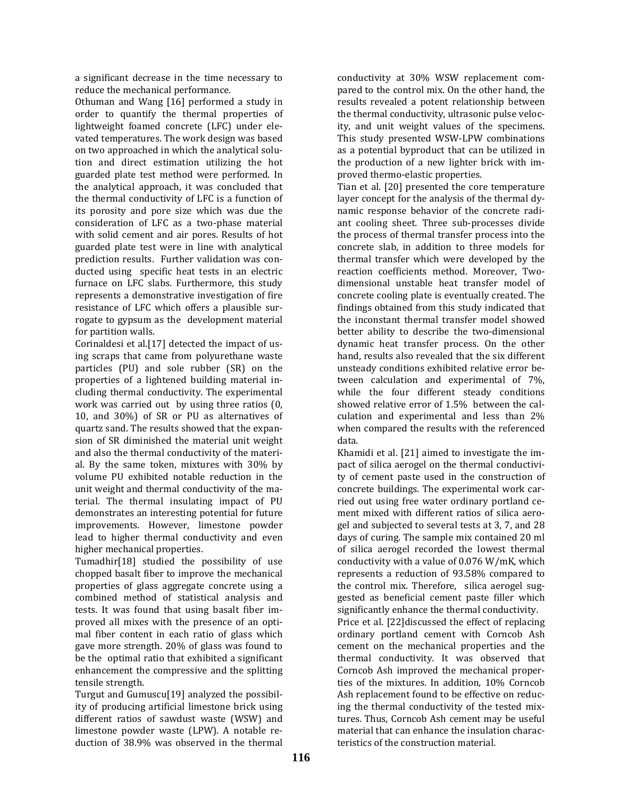a significant decrease in the time necessary to reduce the mechanical performance.

Othuman and Wang [16] performed a study in order to quantify the thermal properties of lightweight foamed concrete (LFC) under elevated temperatures. The work design was based on two approached in which the analytical solution and direct estimation utilizing the hot guarded plate test method were performed. In the analytical approach, it was concluded that the thermal conductivity of LFC is a function of its porosity and pore size which was due the consideration of LFC as a two-phase material with solid cement and air pores. Results of hot guarded plate test were in line with analytical prediction results. Further validation was conducted using specific heat tests in an electric furnace on LFC slabs. Furthermore, this study represents a demonstrative investigation of fire resistance of LFC which offers a plausible surrogate to gypsum as the development material for partition walls.

Corinaldesi et al.[17] detected the impact of using scraps that came from polyurethane waste particles (PU) and sole rubber (SR) on the properties of a lightened building material including thermal conductivity. The experimental work was carried out by using three ratios (0, 10, and 30%) of SR or PU as alternatives of quartz sand. The results showed that the expansion of SR diminished the material unit weight and also the thermal conductivity of the material. By the same token, mixtures with 30% by volume PU exhibited notable reduction in the unit weight and thermal conductivity of the material. The thermal insulating impact of PU demonstrates an interesting potential for future improvements. However, limestone powder lead to higher thermal conductivity and even higher mechanical properties.

Tumadhir[18] studied the possibility of use chopped basalt fiber to improve the mechanical properties of glass aggregate concrete using a combined method of statistical analysis and tests. It was found that using basalt fiber improved all mixes with the presence of an optimal fiber content in each ratio of glass which gave more strength. 20% of glass was found to be the optimal ratio that exhibited a significant enhancement the compressive and the splitting tensile strength.

Turgut and Gumuscu[19] analyzed the possibility of producing artificial limestone brick using different ratios of sawdust waste (WSW) and limestone powder waste (LPW). A notable reduction of 38.9% was observed in the thermal conductivity at 30% WSW replacement compared to the control mix. On the other hand, the results revealed a potent relationship between the thermal conductivity, ultrasonic pulse velocity, and unit weight values of the specimens. This study presented WSW-LPW combinations as a potential byproduct that can be utilized in the production of a new lighter brick with improved thermo-elastic properties.

Tian et al. [20] presented the core temperature layer concept for the analysis of the thermal dynamic response behavior of the concrete radiant cooling sheet. Three sub-processes divide the process of thermal transfer process into the concrete slab, in addition to three models for thermal transfer which were developed by the reaction coefficients method. Moreover, Twodimensional unstable heat transfer model of concrete cooling plate is eventually created. The findings obtained from this study indicated that the inconstant thermal transfer model showed better ability to describe the two-dimensional dynamic heat transfer process. On the other hand, results also revealed that the six different unsteady conditions exhibited relative error between calculation and experimental of 7%, while the four different steady conditions showed relative error of 1.5% between the calculation and experimental and less than 2% when compared the results with the referenced data.

Khamidi et al. [21] aimed to investigate the impact of silica aerogel on the thermal conductivity of cement paste used in the construction of concrete buildings. The experimental work carried out using free water ordinary portland cement mixed with different ratios of silica aerogel and subjected to several tests at 3, 7, and 28 days of curing. The sample mix contained 20 ml of silica aerogel recorded the lowest thermal conductivity with a value of 0.076 W/mK, which represents a reduction of 93.58% compared to the control mix. Therefore, silica aerogel suggested as beneficial cement paste filler which significantly enhance the thermal conductivity.

Price et al. [22]discussed the effect of replacing ordinary portland cement with Corncob Ash cement on the mechanical properties and the thermal conductivity. It was observed that Corncob Ash improved the mechanical properties of the mixtures. In addition, 10% Corncob Ash replacement found to be effective on reducing the thermal conductivity of the tested mixtures. Thus, Corncob Ash cement may be useful material that can enhance the insulation characteristics of the construction material.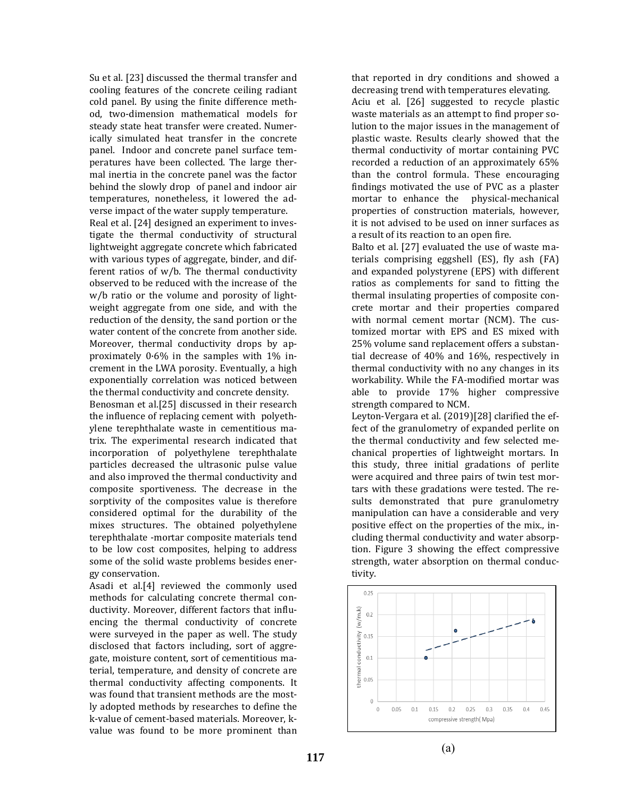Su et al. [23] discussed the thermal transfer and cooling features of the concrete ceiling radiant cold panel. By using the finite difference method, two-dimension mathematical models for steady state heat transfer were created. Numerically simulated heat transfer in the concrete panel. Indoor and concrete panel surface temperatures have been collected. The large thermal inertia in the concrete panel was the factor behind the slowly drop of panel and indoor air temperatures, nonetheless, it lowered the adverse impact of the water supply temperature.

Real et al. [24] designed an experiment to investigate the thermal conductivity of structural lightweight aggregate concrete which fabricated with various types of aggregate, binder, and different ratios of w/b. The thermal conductivity observed to be reduced with the increase of the w/b ratio or the volume and porosity of lightweight aggregate from one side, and with the reduction of the density, the sand portion or the water content of the concrete from another side. Moreover, thermal conductivity drops by approximately 0·6% in the samples with 1% increment in the LWA porosity. Eventually, a high exponentially correlation was noticed between the thermal conductivity and concrete density.

Benosman et al.[25] discussed in their research the influence of replacing cement with polyethylene terephthalate waste in cementitious matrix. The experimental research indicated that incorporation of polyethylene terephthalate particles decreased the ultrasonic pulse value and also improved the thermal conductivity and composite sportiveness. The decrease in the sorptivity of the composites value is therefore considered optimal for the durability of the mixes structures. The obtained polyethylene terephthalate -mortar composite materials tend to be low cost composites, helping to address some of the solid waste problems besides energy conservation.

Asadi et al.[4] reviewed the commonly used methods for calculating concrete thermal conductivity. Moreover, different factors that influencing the thermal conductivity of concrete were surveyed in the paper as well. The study disclosed that factors including, sort of aggregate, moisture content, sort of cementitious material, temperature, and density of concrete are thermal conductivity affecting components. It was found that transient methods are the mostly adopted methods by researches to define the k-value of cement-based materials. Moreover, kvalue was found to be more prominent than

that reported in dry conditions and showed a decreasing trend with temperatures elevating. Aciu et al. [26] suggested to recycle plastic waste materials as an attempt to find proper solution to the major issues in the management of plastic waste. Results clearly showed that the thermal conductivity of mortar containing PVC recorded a reduction of an approximately 65% than the control formula. These encouraging findings motivated the use of PVC as a plaster mortar to enhance the physical-mechanical properties of construction materials, however, it is not advised to be used on inner surfaces as a result of its reaction to an open fire.

Balto et al. [27] evaluated the use of waste materials comprising eggshell (ES), fly ash (FA) and expanded polystyrene (EPS) with different ratios as complements for sand to fitting the thermal insulating properties of composite concrete mortar and their properties compared with normal cement mortar (NCM). The customized mortar with EPS and ES mixed with 25% volume sand replacement offers a substantial decrease of 40% and 16%, respectively in thermal conductivity with no any changes in its workability. While the FA-modified mortar was able to provide 17% higher compressive strength compared to NCM.

Leyton-Vergara et al. (2019)[28] clarified the effect of the granulometry of expanded perlite on the thermal conductivity and few selected mechanical properties of lightweight mortars. In this study, three initial gradations of perlite were acquired and three pairs of twin test mortars with these gradations were tested. The results demonstrated that pure granulometry manipulation can have a considerable and very positive effect on the properties of the mix., including thermal conductivity and water absorption. Figure 3 showing the effect compressive strength, water absorption on thermal conductivity.

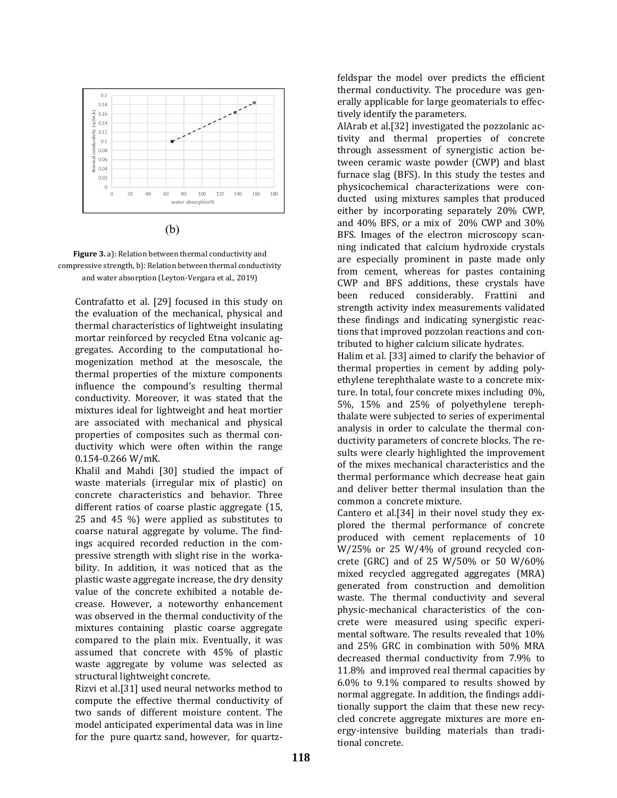

(b)



Contrafatto et al. [29] focused in this study on the evaluation of the mechanical, physical and thermal characteristics of lightweight insulating mortar reinforced by recycled Etna volcanic aggregates. According to the computational homogenization method at the mesoscale, the thermal properties of the mixture components influence the compound's resulting thermal conductivity. Moreover, it was stated that the mixtures ideal for lightweight and heat mortier are associated with mechanical and physical properties of composites such as thermal conductivity which were often within the range 0.154-0.266 W/mK.

Khalil and Mahdi [30] studied the impact of waste materials (irregular mix of plastic) on concrete characteristics and behavior. Three different ratios of coarse plastic aggregate (15, 25 and 45 %) were applied as substitutes to coarse natural aggregate by volume. The findings acquired recorded reduction in the compressive strength with slight rise in the workability. In addition, it was noticed that as the plastic waste aggregate increase, the dry density value of the concrete exhibited a notable decrease. However, a noteworthy enhancement was observed in the thermal conductivity of the mixtures containing plastic coarse aggregate compared to the plain mix. Eventually, it was assumed that concrete with 45% of plastic waste aggregate by volume was selected as structural lightweight concrete.

Rizvi et al.[31] used neural networks method to compute the effective thermal conductivity of two sands of different moisture content. The model anticipated experimental data was in line for the pure quartz sand, however, for quartzfeldspar the model over predicts the efficient thermal conductivity. The procedure was generally applicable for large geomaterials to effectively identify the parameters.

AlArab et al.[32] investigated the pozzolanic activity and thermal properties of concrete through assessment of synergistic action between ceramic waste powder (CWP) and blast furnace slag (BFS). In this study the testes and physicochemical characterizations were conducted using mixtures samples that produced either by incorporating separately 20% CWP, and 40% BFS, or a mix of 20% CWP and 30% BFS. Images of the electron microscopy scanning indicated that calcium hydroxide crystals are especially prominent in paste made only from cement, whereas for pastes containing CWP and BFS additions, these crystals have been reduced considerably. Frattini and strength activity index measurements validated these findings and indicating synergistic reactions that improved pozzolan reactions and contributed to higher calcium silicate hydrates.

Halim et al. [33] aimed to clarify the behavior of thermal properties in cement by adding polyethylene terephthalate waste to a concrete mixture. In total, four concrete mixes including 0%, 5%, 15% and 25% of polyethylene terephthalate were subjected to series of experimental analysis in order to calculate the thermal conductivity parameters of concrete blocks. The results were clearly highlighted the improvement of the mixes mechanical characteristics and the thermal performance which decrease heat gain and deliver better thermal insulation than the common a concrete mixture.

Cantero et al.[34] in their novel study they explored the thermal performance of concrete produced with cement replacements of 10 W/25% or 25 W/4% of ground recycled concrete (GRC) and of 25 W/50% or 50 W/60% mixed recycled aggregated aggregates (MRA) generated from construction and demolition waste. The thermal conductivity and several physic-mechanical characteristics of the concrete were measured using specific experimental software. The results revealed that 10% and 25% GRC in combination with 50% MRA decreased thermal conductivity from 7.9% to 11.8% and improved real thermal capacities by 6.0% to 9.1% compared to results showed by normal aggregate. In addition, the findings additionally support the claim that these new recycled concrete aggregate mixtures are more energy-intensive building materials than traditional concrete.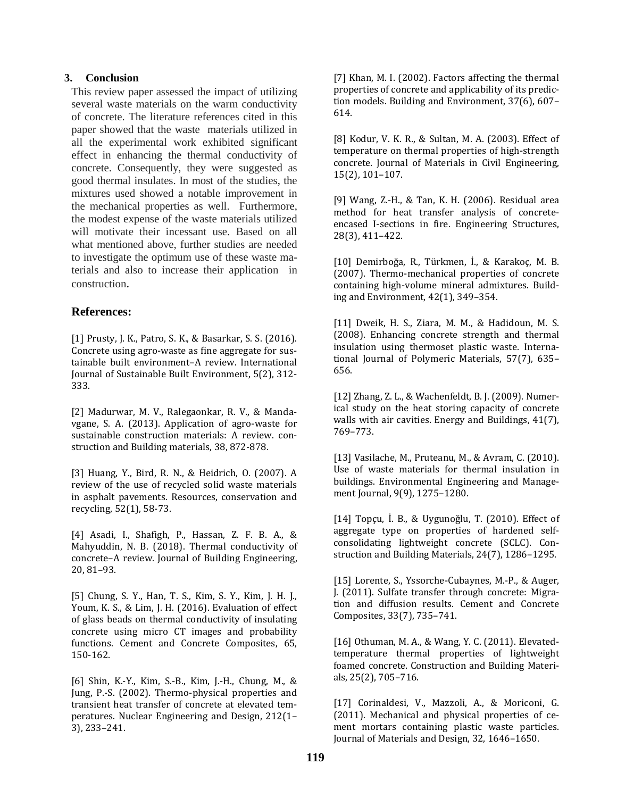### **3. Conclusion**

This review paper assessed the impact of utilizing several waste materials on the warm conductivity of concrete. The literature references cited in this paper showed that the waste materials utilized in all the experimental work exhibited significant effect in enhancing the thermal conductivity of concrete. Consequently, they were suggested as good thermal insulates. In most of the studies, the mixtures used showed a notable improvement in the mechanical properties as well. Furthermore, the modest expense of the waste materials utilized will motivate their incessant use. Based on all what mentioned above, further studies are needed to investigate the optimum use of these waste materials and also to increase their application in construction.

## **References:**

[1] Prusty, J. K., Patro, S. K., & Basarkar, S. S. (2016). Concrete using agro-waste as fine aggregate for sustainable built environment–A review. International Journal of Sustainable Built Environment, 5(2), 312- 333.

[2] Madurwar, M. V., Ralegaonkar, R. V., & Mandavgane, S. A. (2013). Application of agro-waste for sustainable construction materials: A review. construction and Building materials, 38, 872-878.

[3] Huang, Y., Bird, R. N., & Heidrich, O. (2007). A review of the use of recycled solid waste materials in asphalt pavements. Resources, conservation and recycling, 52(1), 58-73.

[4] Asadi, I., Shafigh, P., Hassan, Z. F. B. A., & Mahyuddin, N. B. (2018). Thermal conductivity of concrete–A review. Journal of Building Engineering, 20, 81–93.

[5] Chung, S. Y., Han, T. S., Kim, S. Y., Kim, J. H. J., Youm, K. S., & Lim, J. H. (2016). Evaluation of effect of glass beads on thermal conductivity of insulating concrete using micro CT images and probability functions. Cement and Concrete Composites, 65, 150-162.

[6] Shin, K.-Y., Kim, S.-B., Kim, J.-H., Chung, M., & Jung, P.-S. (2002). Thermo-physical properties and transient heat transfer of concrete at elevated temperatures. Nuclear Engineering and Design, 212(1– 3), 233–241.

[7] Khan, M. I. (2002). Factors affecting the thermal properties of concrete and applicability of its prediction models. Building and Environment, 37(6), 607– 614.

[8] Kodur, V. K. R., & Sultan, M. A. (2003). Effect of temperature on thermal properties of high-strength concrete. Journal of Materials in Civil Engineering, 15(2), 101–107.

[9] Wang, Z.-H., & Tan, K. H. (2006). Residual area method for heat transfer analysis of concreteencased I-sections in fire. Engineering Structures, 28(3), 411–422.

[10] Demirboğa, R., Türkmen, İ., & Karakoç, M. B. (2007). Thermo-mechanical properties of concrete containing high-volume mineral admixtures. Building and Environment, 42(1), 349–354.

[11] Dweik, H. S., Ziara, M. M., & Hadidoun, M. S. (2008). Enhancing concrete strength and thermal insulation using thermoset plastic waste. International Journal of Polymeric Materials, 57(7), 635– 656.

[12] Zhang, Z. L., & Wachenfeldt, B. J. (2009). Numerical study on the heat storing capacity of concrete walls with air cavities. Energy and Buildings, 41(7), 769–773.

[13] Vasilache, M., Pruteanu, M., & Avram, C. (2010). Use of waste materials for thermal insulation in buildings. Environmental Engineering and Management Journal, 9(9), 1275–1280.

[14] Topçu, İ. B., & Uygunoğlu, T. (2010). Effect of aggregate type on properties of hardened selfconsolidating lightweight concrete (SCLC). Construction and Building Materials, 24(7), 1286–1295.

[15] Lorente, S., Yssorche-Cubaynes, M.-P., & Auger, J. (2011). Sulfate transfer through concrete: Migration and diffusion results. Cement and Concrete Composites, 33(7), 735–741.

[16] Othuman, M. A., & Wang, Y. C. (2011). Elevatedtemperature thermal properties of lightweight foamed concrete. Construction and Building Materials, 25(2), 705–716.

[17] Corinaldesi, V., Mazzoli, A., & Moriconi, G. (2011). Mechanical and physical properties of cement mortars containing plastic waste particles. Journal of Materials and Design, 32, 1646–1650.